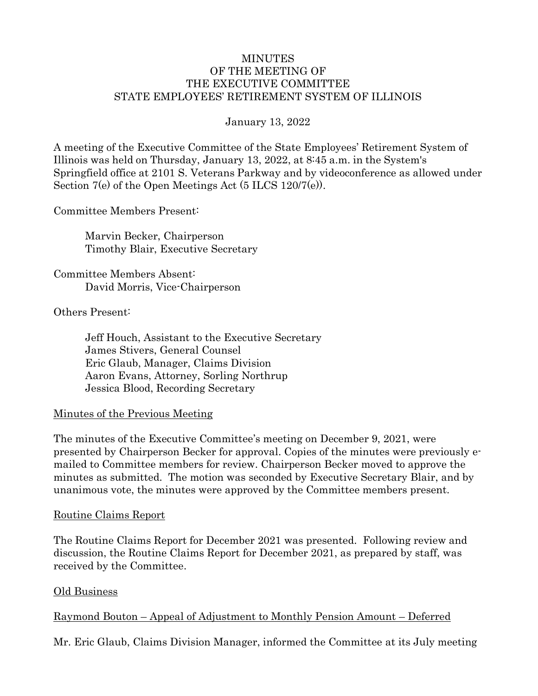### MINUTES OF THE MEETING OF THE EXECUTIVE COMMITTEE STATE EMPLOYEES' RETIREMENT SYSTEM OF ILLINOIS

January 13, 2022

A meeting of the Executive Committee of the State Employees' Retirement System of Illinois was held on Thursday, January 13, 2022, at 8:45 a.m. in the System's Springfield office at 2101 S. Veterans Parkway and by videoconference as allowed under Section 7(e) of the Open Meetings Act (5 ILCS 120/7(e)).

Committee Members Present:

Marvin Becker, Chairperson Timothy Blair, Executive Secretary

Committee Members Absent: David Morris, Vice-Chairperson

Others Present:

Jeff Houch, Assistant to the Executive Secretary James Stivers, General Counsel Eric Glaub, Manager, Claims Division Aaron Evans, Attorney, Sorling Northrup Jessica Blood, Recording Secretary

#### Minutes of the Previous Meeting

The minutes of the Executive Committee's meeting on December 9, 2021, were presented by Chairperson Becker for approval. Copies of the minutes were previously emailed to Committee members for review. Chairperson Becker moved to approve the minutes as submitted. The motion was seconded by Executive Secretary Blair, and by unanimous vote, the minutes were approved by the Committee members present.

#### Routine Claims Report

The Routine Claims Report for December 2021 was presented. Following review and discussion, the Routine Claims Report for December 2021, as prepared by staff, was received by the Committee.

#### Old Business

### Raymond Bouton – Appeal of Adjustment to Monthly Pension Amount – Deferred

Mr. Eric Glaub, Claims Division Manager, informed the Committee at its July meeting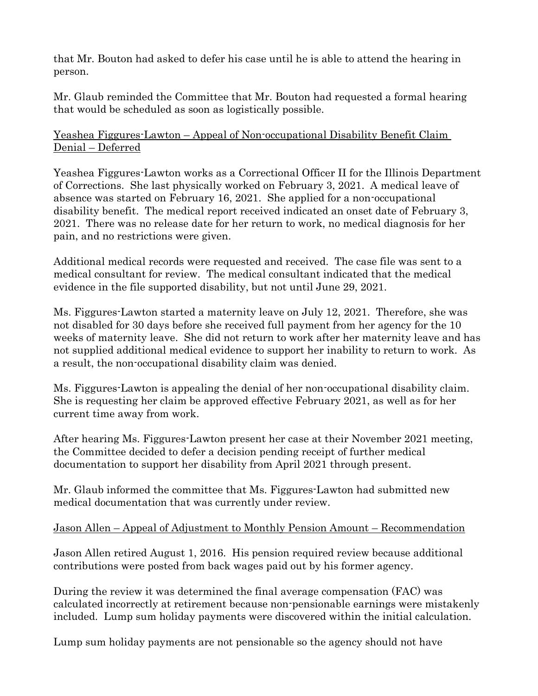that Mr. Bouton had asked to defer his case until he is able to attend the hearing in person.

Mr. Glaub reminded the Committee that Mr. Bouton had requested a formal hearing that would be scheduled as soon as logistically possible.

Yeashea Figgures-Lawton – Appeal of Non-occupational Disability Benefit Claim Denial – Deferred

Yeashea Figgures-Lawton works as a Correctional Officer II for the Illinois Department of Corrections. She last physically worked on February 3, 2021. A medical leave of absence was started on February 16, 2021. She applied for a non-occupational disability benefit. The medical report received indicated an onset date of February 3, 2021. There was no release date for her return to work, no medical diagnosis for her pain, and no restrictions were given.

Additional medical records were requested and received. The case file was sent to a medical consultant for review. The medical consultant indicated that the medical evidence in the file supported disability, but not until June 29, 2021.

Ms. Figgures-Lawton started a maternity leave on July 12, 2021. Therefore, she was not disabled for 30 days before she received full payment from her agency for the 10 weeks of maternity leave. She did not return to work after her maternity leave and has not supplied additional medical evidence to support her inability to return to work. As a result, the non-occupational disability claim was denied.

Ms. Figgures-Lawton is appealing the denial of her non-occupational disability claim. She is requesting her claim be approved effective February 2021, as well as for her current time away from work.

After hearing Ms. Figgures-Lawton present her case at their November 2021 meeting, the Committee decided to defer a decision pending receipt of further medical documentation to support her disability from April 2021 through present.

Mr. Glaub informed the committee that Ms. Figgures-Lawton had submitted new medical documentation that was currently under review.

# Jason Allen – Appeal of Adjustment to Monthly Pension Amount – Recommendation

Jason Allen retired August 1, 2016. His pension required review because additional contributions were posted from back wages paid out by his former agency.

During the review it was determined the final average compensation (FAC) was calculated incorrectly at retirement because non-pensionable earnings were mistakenly included. Lump sum holiday payments were discovered within the initial calculation.

Lump sum holiday payments are not pensionable so the agency should not have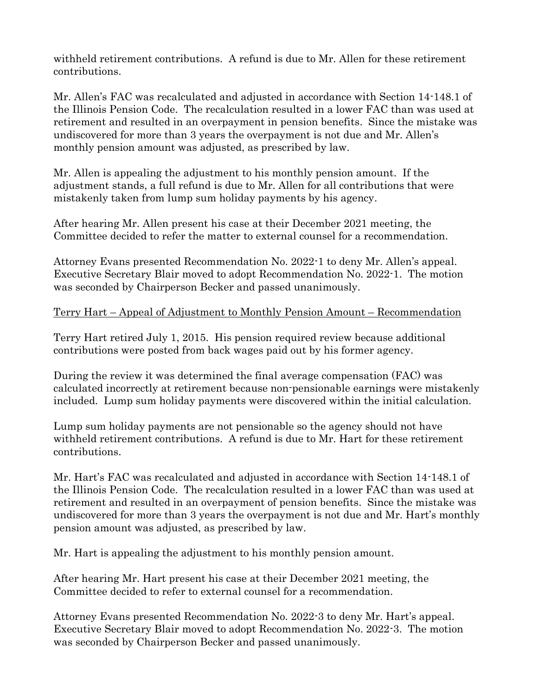withheld retirement contributions. A refund is due to Mr. Allen for these retirement contributions.

Mr. Allen's FAC was recalculated and adjusted in accordance with Section 14-148.1 of the Illinois Pension Code. The recalculation resulted in a lower FAC than was used at retirement and resulted in an overpayment in pension benefits. Since the mistake was undiscovered for more than 3 years the overpayment is not due and Mr. Allen's monthly pension amount was adjusted, as prescribed by law.

Mr. Allen is appealing the adjustment to his monthly pension amount. If the adjustment stands, a full refund is due to Mr. Allen for all contributions that were mistakenly taken from lump sum holiday payments by his agency.

After hearing Mr. Allen present his case at their December 2021 meeting, the Committee decided to refer the matter to external counsel for a recommendation.

Attorney Evans presented Recommendation No. 2022-1 to deny Mr. Allen's appeal. Executive Secretary Blair moved to adopt Recommendation No. 2022-1. The motion was seconded by Chairperson Becker and passed unanimously.

## Terry Hart – Appeal of Adjustment to Monthly Pension Amount – Recommendation

Terry Hart retired July 1, 2015. His pension required review because additional contributions were posted from back wages paid out by his former agency.

During the review it was determined the final average compensation (FAC) was calculated incorrectly at retirement because non-pensionable earnings were mistakenly included. Lump sum holiday payments were discovered within the initial calculation.

Lump sum holiday payments are not pensionable so the agency should not have withheld retirement contributions. A refund is due to Mr. Hart for these retirement contributions.

Mr. Hart's FAC was recalculated and adjusted in accordance with Section 14-148.1 of the Illinois Pension Code. The recalculation resulted in a lower FAC than was used at retirement and resulted in an overpayment of pension benefits. Since the mistake was undiscovered for more than 3 years the overpayment is not due and Mr. Hart's monthly pension amount was adjusted, as prescribed by law.

Mr. Hart is appealing the adjustment to his monthly pension amount.

After hearing Mr. Hart present his case at their December 2021 meeting, the Committee decided to refer to external counsel for a recommendation.

Attorney Evans presented Recommendation No. 2022-3 to deny Mr. Hart's appeal. Executive Secretary Blair moved to adopt Recommendation No. 2022-3. The motion was seconded by Chairperson Becker and passed unanimously.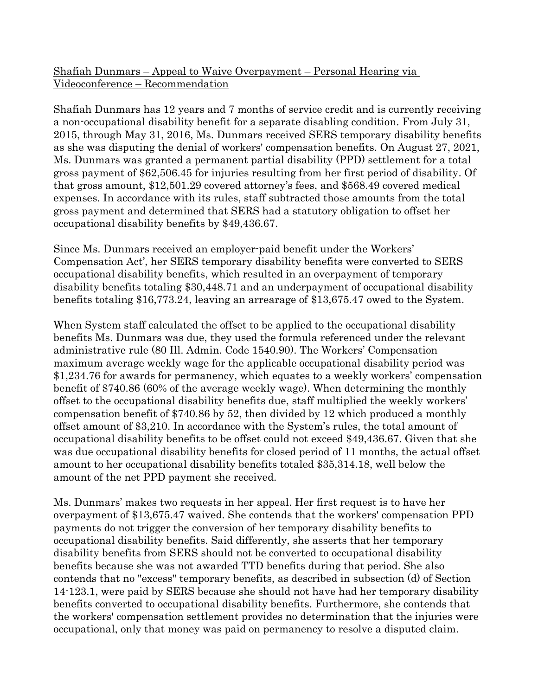## Shafiah Dunmars – Appeal to Waive Overpayment – Personal Hearing via Videoconference – Recommendation

Shafiah Dunmars has 12 years and 7 months of service credit and is currently receiving a non-occupational disability benefit for a separate disabling condition. From July 31, 2015, through May 31, 2016, Ms. Dunmars received SERS temporary disability benefits as she was disputing the denial of workers' compensation benefits. On August 27, 2021, Ms. Dunmars was granted a permanent partial disability (PPD) settlement for a total gross payment of \$62,506.45 for injuries resulting from her first period of disability. Of that gross amount, \$12,501.29 covered attorney's fees, and \$568.49 covered medical expenses. In accordance with its rules, staff subtracted those amounts from the total gross payment and determined that SERS had a statutory obligation to offset her occupational disability benefits by \$49,436.67.

Since Ms. Dunmars received an employer-paid benefit under the Workers' Compensation Act', her SERS temporary disability benefits were converted to SERS occupational disability benefits, which resulted in an overpayment of temporary disability benefits totaling \$30,448.71 and an underpayment of occupational disability benefits totaling \$16,773.24, leaving an arrearage of \$13,675.47 owed to the System.

When System staff calculated the offset to be applied to the occupational disability benefits Ms. Dunmars was due, they used the formula referenced under the relevant administrative rule (80 Ill. Admin. Code 1540.90). The Workers' Compensation maximum average weekly wage for the applicable occupational disability period was \$1,234.76 for awards for permanency, which equates to a weekly workers' compensation benefit of \$740.86 (60% of the average weekly wage). When determining the monthly offset to the occupational disability benefits due, staff multiplied the weekly workers' compensation benefit of \$740.86 by 52, then divided by 12 which produced a monthly offset amount of \$3,210. In accordance with the System's rules, the total amount of occupational disability benefits to be offset could not exceed \$49,436.67. Given that she was due occupational disability benefits for closed period of 11 months, the actual offset amount to her occupational disability benefits totaled \$35,314.18, well below the amount of the net PPD payment she received.

Ms. Dunmars' makes two requests in her appeal. Her first request is to have her overpayment of \$13,675.47 waived. She contends that the workers' compensation PPD payments do not trigger the conversion of her temporary disability benefits to occupational disability benefits. Said differently, she asserts that her temporary disability benefits from SERS should not be converted to occupational disability benefits because she was not awarded TTD benefits during that period. She also contends that no "excess" temporary benefits, as described in subsection (d) of Section 14-123.1, were paid by SERS because she should not have had her temporary disability benefits converted to occupational disability benefits. Furthermore, she contends that the workers' compensation settlement provides no determination that the injuries were occupational, only that money was paid on permanency to resolve a disputed claim.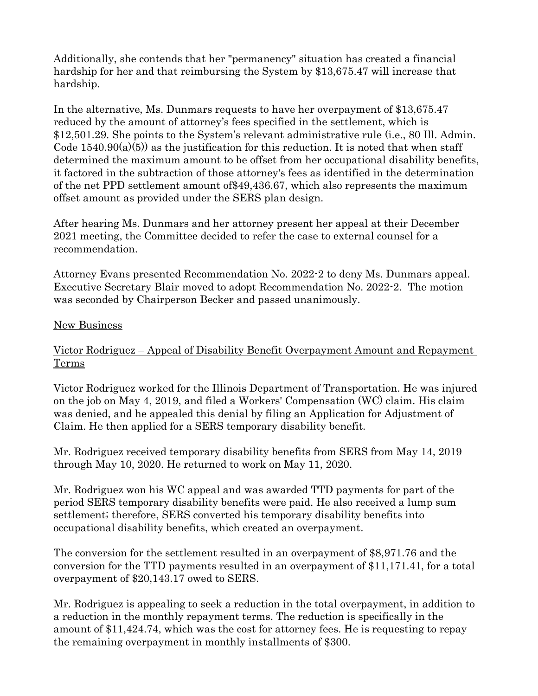Additionally, she contends that her "permanency" situation has created a financial hardship for her and that reimbursing the System by \$13,675.47 will increase that hardship.

In the alternative, Ms. Dunmars requests to have her overpayment of \$13,675.47 reduced by the amount of attorney's fees specified in the settlement, which is \$12,501.29. She points to the System's relevant administrative rule (i.e., 80 Ill. Admin. Code  $1540.90(a)(5)$  as the justification for this reduction. It is noted that when staff determined the maximum amount to be offset from her occupational disability benefits, it factored in the subtraction of those attorney's fees as identified in the determination of the net PPD settlement amount of\$49,436.67, which also represents the maximum offset amount as provided under the SERS plan design.

After hearing Ms. Dunmars and her attorney present her appeal at their December 2021 meeting, the Committee decided to refer the case to external counsel for a recommendation.

Attorney Evans presented Recommendation No. 2022-2 to deny Ms. Dunmars appeal. Executive Secretary Blair moved to adopt Recommendation No. 2022-2. The motion was seconded by Chairperson Becker and passed unanimously.

### New Business

# Victor Rodriguez – Appeal of Disability Benefit Overpayment Amount and Repayment Terms

Victor Rodriguez worked for the Illinois Department of Transportation. He was injured on the job on May 4, 2019, and filed a Workers' Compensation (WC) claim. His claim was denied, and he appealed this denial by filing an Application for Adjustment of Claim. He then applied for a SERS temporary disability benefit.

Mr. Rodriguez received temporary disability benefits from SERS from May 14, 2019 through May 10, 2020. He returned to work on May 11, 2020.

Mr. Rodriguez won his WC appeal and was awarded TTD payments for part of the period SERS temporary disability benefits were paid. He also received a lump sum settlement; therefore, SERS converted his temporary disability benefits into occupational disability benefits, which created an overpayment.

The conversion for the settlement resulted in an overpayment of \$8,971.76 and the conversion for the TTD payments resulted in an overpayment of \$11,171.41, for a total overpayment of \$20,143.17 owed to SERS.

Mr. Rodriguez is appealing to seek a reduction in the total overpayment, in addition to a reduction in the monthly repayment terms. The reduction is specifically in the amount of \$11,424.74, which was the cost for attorney fees. He is requesting to repay the remaining overpayment in monthly installments of \$300.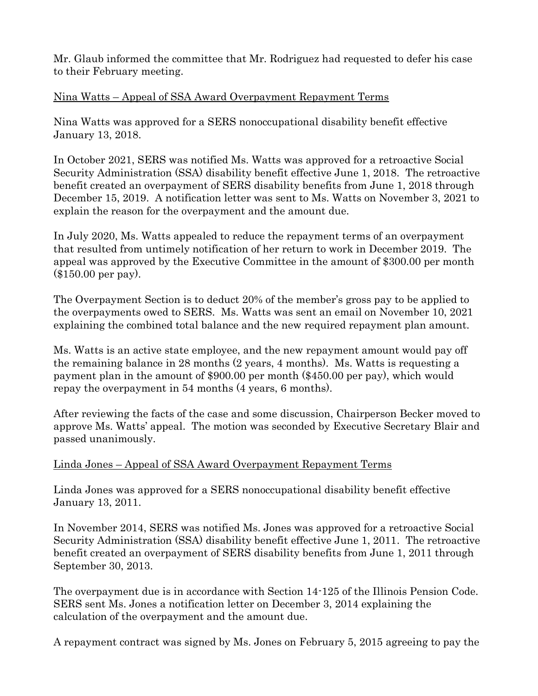Mr. Glaub informed the committee that Mr. Rodriguez had requested to defer his case to their February meeting.

# Nina Watts – Appeal of SSA Award Overpayment Repayment Terms

Nina Watts was approved for a SERS nonoccupational disability benefit effective January 13, 2018.

In October 2021, SERS was notified Ms. Watts was approved for a retroactive Social Security Administration (SSA) disability benefit effective June 1, 2018. The retroactive benefit created an overpayment of SERS disability benefits from June 1, 2018 through December 15, 2019. A notification letter was sent to Ms. Watts on November 3, 2021 to explain the reason for the overpayment and the amount due.

In July 2020, Ms. Watts appealed to reduce the repayment terms of an overpayment that resulted from untimely notification of her return to work in December 2019. The appeal was approved by the Executive Committee in the amount of \$300.00 per month (\$150.00 per pay).

The Overpayment Section is to deduct 20% of the member's gross pay to be applied to the overpayments owed to SERS. Ms. Watts was sent an email on November 10, 2021 explaining the combined total balance and the new required repayment plan amount.

Ms. Watts is an active state employee, and the new repayment amount would pay off the remaining balance in 28 months (2 years, 4 months). Ms. Watts is requesting a payment plan in the amount of \$900.00 per month (\$450.00 per pay), which would repay the overpayment in 54 months (4 years, 6 months).

After reviewing the facts of the case and some discussion, Chairperson Becker moved to approve Ms. Watts' appeal. The motion was seconded by Executive Secretary Blair and passed unanimously.

# Linda Jones – Appeal of SSA Award Overpayment Repayment Terms

Linda Jones was approved for a SERS nonoccupational disability benefit effective January 13, 2011.

In November 2014, SERS was notified Ms. Jones was approved for a retroactive Social Security Administration (SSA) disability benefit effective June 1, 2011. The retroactive benefit created an overpayment of SERS disability benefits from June 1, 2011 through September 30, 2013.

The overpayment due is in accordance with Section 14-125 of the Illinois Pension Code. SERS sent Ms. Jones a notification letter on December 3, 2014 explaining the calculation of the overpayment and the amount due.

A repayment contract was signed by Ms. Jones on February 5, 2015 agreeing to pay the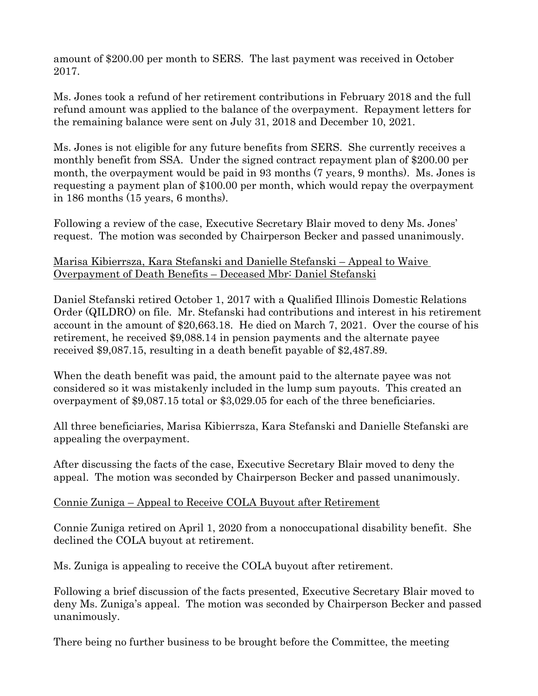amount of \$200.00 per month to SERS. The last payment was received in October 2017.

Ms. Jones took a refund of her retirement contributions in February 2018 and the full refund amount was applied to the balance of the overpayment. Repayment letters for the remaining balance were sent on July 31, 2018 and December 10, 2021.

Ms. Jones is not eligible for any future benefits from SERS. She currently receives a monthly benefit from SSA. Under the signed contract repayment plan of \$200.00 per month, the overpayment would be paid in 93 months (7 years, 9 months). Ms. Jones is requesting a payment plan of \$100.00 per month, which would repay the overpayment in 186 months (15 years, 6 months).

Following a review of the case, Executive Secretary Blair moved to deny Ms. Jones' request. The motion was seconded by Chairperson Becker and passed unanimously.

## Marisa Kibierrsza, Kara Stefanski and Danielle Stefanski – Appeal to Waive Overpayment of Death Benefits – Deceased Mbr: Daniel Stefanski

Daniel Stefanski retired October 1, 2017 with a Qualified Illinois Domestic Relations Order (QILDRO) on file. Mr. Stefanski had contributions and interest in his retirement account in the amount of \$20,663.18. He died on March 7, 2021. Over the course of his retirement, he received \$9,088.14 in pension payments and the alternate payee received \$9,087.15, resulting in a death benefit payable of \$2,487.89.

When the death benefit was paid, the amount paid to the alternate payee was not considered so it was mistakenly included in the lump sum payouts. This created an overpayment of \$9,087.15 total or \$3,029.05 for each of the three beneficiaries.

All three beneficiaries, Marisa Kibierrsza, Kara Stefanski and Danielle Stefanski are appealing the overpayment.

After discussing the facts of the case, Executive Secretary Blair moved to deny the appeal. The motion was seconded by Chairperson Becker and passed unanimously.

# Connie Zuniga – Appeal to Receive COLA Buyout after Retirement

Connie Zuniga retired on April 1, 2020 from a nonoccupational disability benefit. She declined the COLA buyout at retirement.

Ms. Zuniga is appealing to receive the COLA buyout after retirement.

Following a brief discussion of the facts presented, Executive Secretary Blair moved to deny Ms. Zuniga's appeal. The motion was seconded by Chairperson Becker and passed unanimously.

There being no further business to be brought before the Committee, the meeting